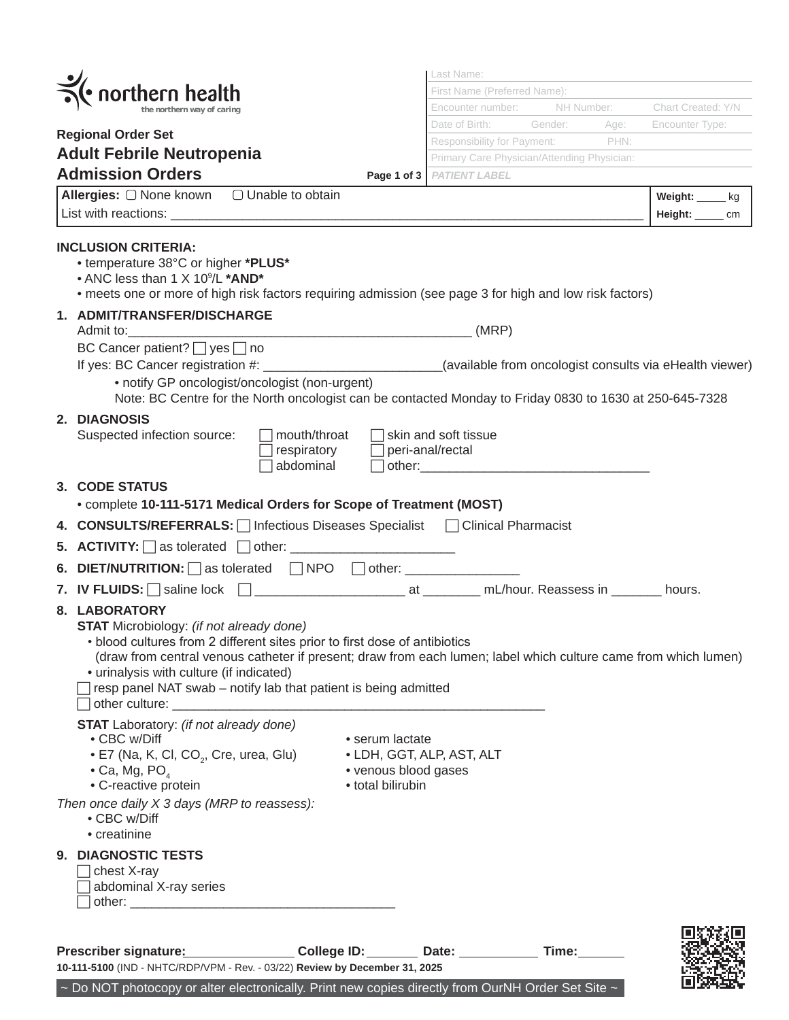|  |                                                                                                                                                                                                                                                                                                                                                                                                           |                                                                                           | Last Name:<br>First Name (Preferred Name): |         |      |                        |  |
|--|-----------------------------------------------------------------------------------------------------------------------------------------------------------------------------------------------------------------------------------------------------------------------------------------------------------------------------------------------------------------------------------------------------------|-------------------------------------------------------------------------------------------|--------------------------------------------|---------|------|------------------------|--|
|  | $\bullet$ northern health                                                                                                                                                                                                                                                                                                                                                                                 | Encounter number:<br>NH Number:<br>Chart Created: Y/N                                     |                                            |         |      |                        |  |
|  |                                                                                                                                                                                                                                                                                                                                                                                                           |                                                                                           | Date of Birth:                             | Gender: | Age: | <b>Encounter Type:</b> |  |
|  | <b>Regional Order Set</b>                                                                                                                                                                                                                                                                                                                                                                                 |                                                                                           | Responsibility for Payment: PHN:           |         |      |                        |  |
|  | <b>Adult Febrile Neutropenia</b>                                                                                                                                                                                                                                                                                                                                                                          | Primary Care Physician/Attending Physician:                                               |                                            |         |      |                        |  |
|  | <b>Admission Orders</b>                                                                                                                                                                                                                                                                                                                                                                                   |                                                                                           | Page 1 of 3   PATIENT LABEL                |         |      |                        |  |
|  | Allergies: O None known  O Unable to obtain                                                                                                                                                                                                                                                                                                                                                               |                                                                                           |                                            |         |      | Weight: kg             |  |
|  |                                                                                                                                                                                                                                                                                                                                                                                                           |                                                                                           |                                            |         |      | Height: ____<br>cm     |  |
|  |                                                                                                                                                                                                                                                                                                                                                                                                           |                                                                                           |                                            |         |      |                        |  |
|  | <b>INCLUSION CRITERIA:</b><br>• temperature 38°C or higher *PLUS*<br>• ANC less than 1 X 10 <sup>9</sup> /L *AND*<br>• meets one or more of high risk factors requiring admission (see page 3 for high and low risk factors)<br>1. ADMIT/TRANSFER/DISCHARGE                                                                                                                                               |                                                                                           | (MRP)                                      |         |      |                        |  |
|  | BC Cancer patient? □ yes □ no<br>If yes: BC Cancer registration #: __________________________(available from oncologist consults via eHealth viewer)<br>• notify GP oncologist/oncologist (non-urgent)<br>Note: BC Centre for the North oncologist can be contacted Monday to Friday 0830 to 1630 at 250-645-7328                                                                                         |                                                                                           |                                            |         |      |                        |  |
|  | 2. DIAGNOSIS<br>Suspected infection source:                                                                                                                                                                                                                                                                                                                                                               | mouth/throat<br>respiratory<br>abdominal                                                  | skin and soft tissue<br>peri-anal/rectal   |         |      |                        |  |
|  | 3. CODE STATUS<br>• complete 10-111-5171 Medical Orders for Scope of Treatment (MOST)                                                                                                                                                                                                                                                                                                                     |                                                                                           |                                            |         |      |                        |  |
|  | 4. CONSULTS/REFERRALS:   Infectious Diseases Specialist   Clinical Pharmacist                                                                                                                                                                                                                                                                                                                             |                                                                                           |                                            |         |      |                        |  |
|  |                                                                                                                                                                                                                                                                                                                                                                                                           |                                                                                           |                                            |         |      |                        |  |
|  | 6. DIET/NUTRITION: $\bigcap$ as tolerated $\bigcap$ NPO $\bigcap$ other:                                                                                                                                                                                                                                                                                                                                  |                                                                                           |                                            |         |      |                        |  |
|  | 7. IV FLUIDS: Saline lock 2. Communication at 2. All About. Reassess in 2. All Abours.                                                                                                                                                                                                                                                                                                                    |                                                                                           |                                            |         |      |                        |  |
|  | 8. LABORATORY<br><b>STAT</b> Microbiology: (if not already done)<br>• blood cultures from 2 different sites prior to first dose of antibiotics<br>(draw from central venous catheter if present; draw from each lumen; label which culture came from which lumen)<br>• urinalysis with culture (if indicated)<br>resp panel NAT swab - notify lab that patient is being admitted<br>other culture: ______ |                                                                                           |                                            |         |      |                        |  |
|  | <b>STAT</b> Laboratory: (if not already done)<br>• CBC w/Diff<br>• E7 (Na, K, Cl, CO <sub>2</sub> , Cre, urea, Glu)<br>$\bullet$ Ca, Mg, PO,<br>• C-reactive protein                                                                                                                                                                                                                                      | • serum lactate<br>• LDH, GGT, ALP, AST, ALT<br>• venous blood gases<br>• total bilirubin |                                            |         |      |                        |  |
|  | Then once daily X 3 days (MRP to reassess):<br>• CBC w/Diff<br>• creatinine                                                                                                                                                                                                                                                                                                                               |                                                                                           |                                            |         |      |                        |  |
|  | 9. DIAGNOSTIC TESTS<br>chest X-ray<br>abdominal X-ray series                                                                                                                                                                                                                                                                                                                                              |                                                                                           |                                            |         |      |                        |  |
|  | Prescriber signature: 2000                                                                                                                                                                                                                                                                                                                                                                                | College ID: _______ Date: _________                                                       |                                            | Time:   |      |                        |  |

| 10-111-5100 (IND - NHTC/RDP/VPM - Rev. - 03/22) Review by December 31, 2025 |  |
|-----------------------------------------------------------------------------|--|
|                                                                             |  |

 $\sim$  Do NOT photocopy or alter electronically. Print new copies directly from OurNH Order Set Site  $\sim$ 

П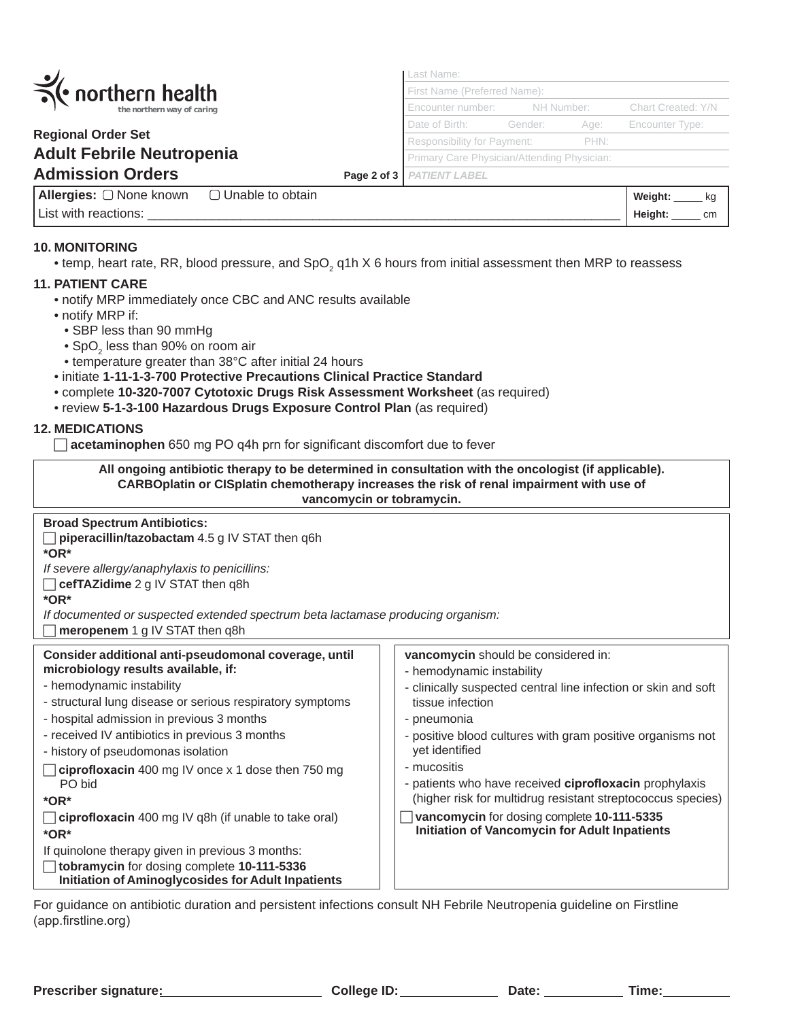|                                                      |  | Last Name:<br>First Name (Preferred Name):  |            |      |                    |
|------------------------------------------------------|--|---------------------------------------------|------------|------|--------------------|
| $\frac{1}{\sqrt{2}}$ northern health                 |  |                                             |            |      |                    |
| the northern way of caring                           |  | Encounter number:                           | NH Number: |      | Chart Created: Y/N |
|                                                      |  | Date of Birth:                              | Gender:    | Age: | Encounter Type:    |
| <b>Regional Order Set</b>                            |  | <b>Responsibility for Payment:</b>          |            | PHN: |                    |
| <b>Adult Febrile Neutropenia</b>                     |  | Primary Care Physician/Attending Physician: |            |      |                    |
| <b>Admission Orders</b>                              |  | Page 2 of 3   PATIENT LABEL                 |            |      |                    |
| <b>Allergies:</b> □ None known<br>□ Unable to obtain |  |                                             |            |      | Weight:            |

## **10. MONITORING**

List with reactions:

 $\bullet$  temp, heart rate, RR, blood pressure, and SpO $_2$  q1h X 6 hours from initial assessment then MRP to reassess

## **11. PATIENT CARE**

- notify MRP immediately once CBC and ANC results available
- notify MRP if:
	- SBP less than 90 mmHg
- $\bullet$  SpO $_2$  less than 90% on room air
	- temperature greater than 38°C after initial 24 hours
	- initiate **1-11-1-3-700 Protective Precautions Clinical Practice Standard**
	- complete **10-320-7007 Cytotoxic Drugs Risk Assessment Worksheet** (as required)
	- review **5-1-3-100 Hazardous Drugs Exposure Control Plan** (as required)

## **12. MEDICATIONS**

□ **acetaminophen** 650 mg PO q4h prn for significant discomfort due to fever

| All ongoing antibiotic therapy to be determined in consultation with the oncologist (if applicable).<br>CARBOplatin or CISplatin chemotherapy increases the risk of renal impairment with use of<br>vancomycin or tobramycin. |  |  |  |
|-------------------------------------------------------------------------------------------------------------------------------------------------------------------------------------------------------------------------------|--|--|--|
| <b>Broad Spectrum Antibiotics:</b>                                                                                                                                                                                            |  |  |  |
| $\Box$ piperacillin/tazobactam 4.5 g IV STAT then q6h                                                                                                                                                                         |  |  |  |
| $*$ OR $*$                                                                                                                                                                                                                    |  |  |  |
| If severe allergy/anaphylaxis to penicillins:                                                                                                                                                                                 |  |  |  |

**cefTAZidime** 2 g IV STAT then q8h

**\*OR\***

*If documented or suspected extended spectrum beta lactamase producing organism:*

**meropenem** 1 g IV STAT then q8h

| Consider additional anti-pseudomonal coverage, until<br>microbiology results available, if:<br>- hemodynamic instability<br>- structural lung disease or serious respiratory symptoms<br>- hospital admission in previous 3 months<br>- received IV antibiotics in previous 3 months<br>- history of pseudomonas isolation<br>$\Box$ ciprofloxacin 400 mg IV once x 1 dose then 750 mg<br>PO bid<br>$*$ OR $*$<br>$\Box$ ciprofloxacin 400 mg IV q8h (if unable to take oral)<br>$*$ OR $*$<br>If quinolone therapy given in previous 3 months:<br>tobramycin for dosing complete 10-111-5336<br><b>Initiation of Aminoglycosides for Adult Inpatients</b> | vancomycin should be considered in:<br>- hemodynamic instability<br>- clinically suspected central line infection or skin and soft<br>tissue infection<br>- pneumonia<br>- positive blood cultures with gram positive organisms not<br>vet identified<br>- mucositis<br>- patients who have received ciprofloxacin prophylaxis<br>(higher risk for multidrug resistant streptococcus species)<br>vancomycin for dosing complete 10-111-5335<br><b>Initiation of Vancomycin for Adult Inpatients</b> |
|------------------------------------------------------------------------------------------------------------------------------------------------------------------------------------------------------------------------------------------------------------------------------------------------------------------------------------------------------------------------------------------------------------------------------------------------------------------------------------------------------------------------------------------------------------------------------------------------------------------------------------------------------------|-----------------------------------------------------------------------------------------------------------------------------------------------------------------------------------------------------------------------------------------------------------------------------------------------------------------------------------------------------------------------------------------------------------------------------------------------------------------------------------------------------|
|                                                                                                                                                                                                                                                                                                                                                                                                                                                                                                                                                                                                                                                            |                                                                                                                                                                                                                                                                                                                                                                                                                                                                                                     |

For guidance on antibiotic duration and persistent infections consult NH Febrile Neutropenia guideline on Firstline (app.firstline.org)

**Height:** \_\_\_\_\_ cm